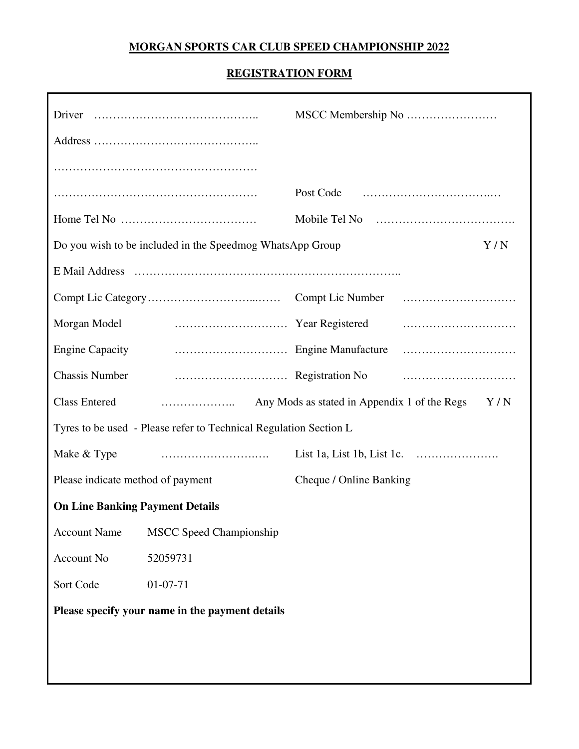# **MORGAN SPORTS CAR CLUB SPEED CHAMPIONSHIP 2022**

## **REGISTRATION FORM**

|                                                                   | Post Code                                           |  |
|-------------------------------------------------------------------|-----------------------------------------------------|--|
|                                                                   |                                                     |  |
| Do you wish to be included in the Speedmog WhatsApp Group<br>Y/N  |                                                     |  |
|                                                                   |                                                     |  |
|                                                                   |                                                     |  |
| Morgan Model                                                      |                                                     |  |
| <b>Engine Capacity</b>                                            |                                                     |  |
| <b>Chassis Number</b>                                             |                                                     |  |
| <b>Class Entered</b>                                              | Any Mods as stated in Appendix 1 of the Regs<br>Y/N |  |
| Tyres to be used - Please refer to Technical Regulation Section L |                                                     |  |
| Make & Type                                                       |                                                     |  |
| Please indicate method of payment                                 | Cheque / Online Banking                             |  |
| <b>On Line Banking Payment Details</b>                            |                                                     |  |
| <b>Account Name</b><br><b>MSCC Speed Championship</b>             |                                                     |  |
| Account No<br>52059731                                            |                                                     |  |
| $01-07-71$<br>Sort Code                                           |                                                     |  |
| Please specify your name in the payment details                   |                                                     |  |
|                                                                   |                                                     |  |
|                                                                   |                                                     |  |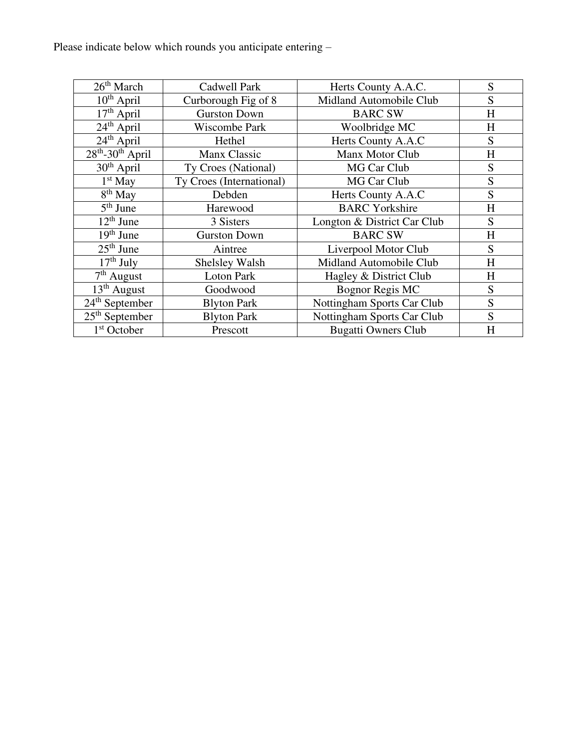Please indicate below which rounds you anticipate entering –

| 26 <sup>th</sup> March          | Cadwell Park             | Herts County A.A.C.         | S         |
|---------------------------------|--------------------------|-----------------------------|-----------|
| $10^{th}$ April                 | Curborough Fig of 8      | Midland Automobile Club     | S         |
| $17th$ April                    | <b>Gurston Down</b>      | <b>BARC SW</b>              | H         |
| $24th$ April                    | Wiscombe Park            | Woolbridge MC               | H         |
| $24th$ April                    | Hethel                   | Herts County A.A.C          | S         |
| $28th - 30th$ April             | Manx Classic             | Manx Motor Club             | $H_{\rm}$ |
| $30th$ April                    | Ty Croes (National)      | MG Car Club                 | S         |
| $1st$ May                       | Ty Croes (International) | MG Car Club                 | S         |
| 8 <sup>th</sup> May             | Debden                   | Herts County A.A.C          | S         |
| $\overline{5}^{\text{th}}$ June | Harewood                 | <b>BARC</b> Yorkshire       | $H_{\rm}$ |
| $12th$ June                     | 3 Sisters                | Longton & District Car Club | S         |
| $19th$ June                     | <b>Gurston Down</b>      | <b>BARC SW</b>              | H         |
| $25th$ June                     | Aintree                  | Liverpool Motor Club        | S         |
| $17th$ July                     | Shelsley Walsh           | Midland Automobile Club     | H         |
| $7th$ August                    | <b>Loton Park</b>        | Hagley & District Club      | H         |
| $13th$ August                   | Goodwood                 | <b>Bognor Regis MC</b>      | S         |
| $24th$ September                | <b>Blyton Park</b>       | Nottingham Sports Car Club  | S         |
| $25th$ September                | <b>Blyton Park</b>       | Nottingham Sports Car Club  | S         |
| 1 <sup>st</sup> October         | Prescott                 | <b>Bugatti Owners Club</b>  | H         |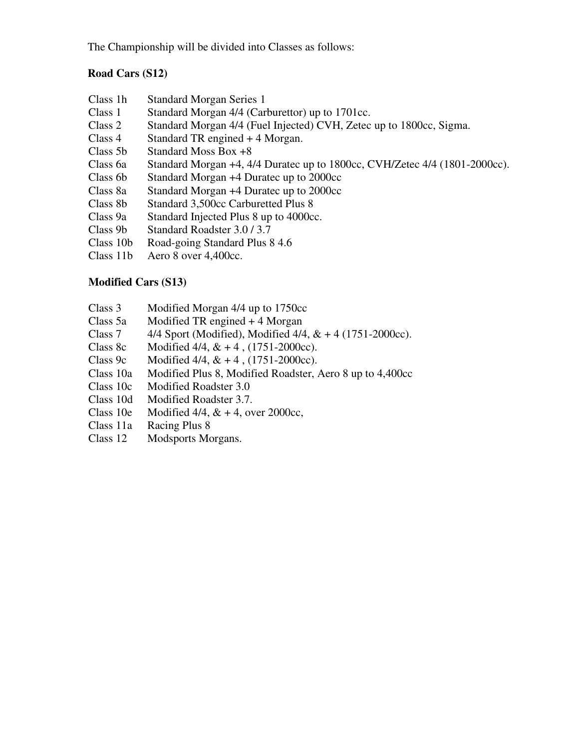The Championship will be divided into Classes as follows:

# **Road Cars (S12)**

| Class 1h  | <b>Standard Morgan Series 1</b>                                            |
|-----------|----------------------------------------------------------------------------|
| Class 1   | Standard Morgan 4/4 (Carburettor) up to 1701cc.                            |
| Class 2   | Standard Morgan 4/4 (Fuel Injected) CVH, Zetec up to 1800cc, Sigma.        |
| Class 4   | Standard TR engined $+4$ Morgan.                                           |
| Class 5b  | Standard Moss Box +8                                                       |
| Class 6a  | Standard Morgan +4, 4/4 Duratec up to 1800cc, CVH/Zetec 4/4 (1801-2000cc). |
| Class 6b  | Standard Morgan +4 Duratec up to 2000cc                                    |
| Class 8a  | Standard Morgan +4 Duratec up to 2000cc                                    |
| Class 8b  | Standard 3,500cc Carburetted Plus 8                                        |
| Class 9a  | Standard Injected Plus 8 up to 4000cc.                                     |
| Class 9b  | Standard Roadster 3.0 / 3.7                                                |
| Class 10b | Road-going Standard Plus 8 4.6                                             |
| Class 11b | Aero 8 over 4,400cc.                                                       |

#### **Modified Cars (S13)**

- Class 3 Modified Morgan 4/4 up to 1750cc
- Class 5a Modified TR engined + 4 Morgan<br>Class 7 4/4 Sport (Modified), Modified 4/4
- 4/4 Sport (Modified), Modified 4/4, & + 4 (1751-2000cc).
- Class 8c Modified  $4/4$ ,  $& 4$ ,  $(1751-2000cc)$ .
- Class 9c Modified 4/4,  $& 44$ ,  $(1751-2000cc)$ .
- Class 10a Modified Plus 8, Modified Roadster, Aero 8 up to 4,400cc
- Class 10c Modified Roadster 3.0
- Class 10d Modified Roadster 3.7.
- Class 10e Modified  $4/4$ ,  $& 4$ , over 2000cc,
- Class 11a Racing Plus 8
- Class 12 Modsports Morgans.